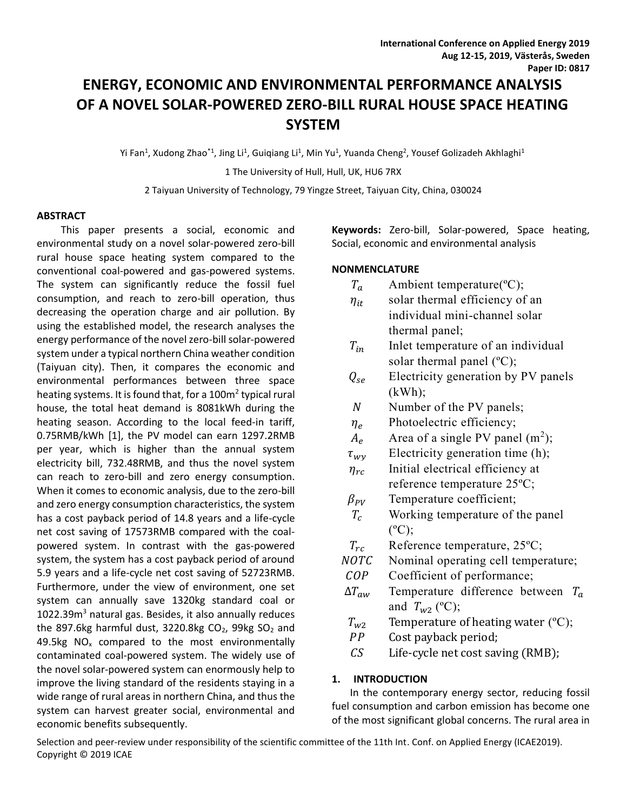# **ENERGY, ECONOMIC AND ENVIRONMENTAL PERFORMANCE ANALYSIS OF A NOVEL SOLAR-POWERED ZERO-BILL RURAL HOUSE SPACE HEATING SYSTEM**

Yi Fan<sup>1</sup>, Xudong Zhao<sup>\*1</sup>, Jing Li<sup>1</sup>, Guiqiang Li<sup>1</sup>, Min Yu<sup>1</sup>, Yuanda Cheng<sup>2</sup>, Yousef Golizadeh Akhlaghi<sup>1</sup> 1 The University of Hull, Hull, UK, HU6 7RX

2 Taiyuan University of Technology, 79 Yingze Street, Taiyuan City, China, 030024

#### **ABSTRACT**

This paper presents a social, economic and environmental study on a novel solar-powered zero-bill rural house space heating system compared to the conventional coal-powered and gas-powered systems. The system can significantly reduce the fossil fuel consumption, and reach to zero-bill operation, thus decreasing the operation charge and air pollution. By using the established model, the research analyses the energy performance of the novel zero-bill solar-powered system under a typical northern China weather condition (Taiyuan city). Then, it compares the economic and environmental performances between three space heating systems. It is found that, for a 100m<sup>2</sup> typical rural house, the total heat demand is 8081kWh during the heating season. According to the local feed-in tariff, 0.75RMB/kWh [1], the PV model can earn 1297.2RMB per year, which is higher than the annual system electricity bill, 732.48RMB, and thus the novel system can reach to zero-bill and zero energy consumption. When it comes to economic analysis, due to the zero-bill and zero energy consumption characteristics, the system has a cost payback period of 14.8 years and a life-cycle net cost saving of 17573RMB compared with the coalpowered system. In contrast with the gas-powered system, the system has a cost payback period of around 5.9 years and a life-cycle net cost saving of 52723RMB. Furthermore, under the view of environment, one set system can annually save 1320kg standard coal or  $1022.39m<sup>3</sup>$  natural gas. Besides, it also annually reduces the 897.6kg harmful dust, 3220.8kg  $CO<sub>2</sub>$ , 99kg  $SO<sub>2</sub>$  and 49.5kg  $NO<sub>x</sub>$  compared to the most environmentally contaminated coal-powered system. The widely use of the novel solar-powered system can enormously help to improve the living standard of the residents staying in a wide range of rural areas in northern China, and thus the system can harvest greater social, environmental and economic benefits subsequently.

**Keywords:** Zero-bill, Solar-powered, Space heating, Social, economic and environmental analysis

### **NONMENCLATURE**

| $T_a$ | Ambient temperature( ${}^{\circ}C$ ); |
|-------|---------------------------------------|
|       |                                       |

- $\eta_{it}$  solar thermal efficiency of an individual mini-channel solar thermal panel;
- $T_{in}$  Inlet temperature of an individual solar thermal panel  $(^{\circ}C)$ ;
- $Q_{\text{se}}$  Electricity generation by PV panels  $(kWh);$
- N Number of the PV panels;
- $\eta_e$  Photoelectric efficiency;
- $A_e$  Area of a single PV panel (m<sup>2</sup>);
- $\tau_{wv}$  Electricity generation time (h);
- $\eta_{rc}$  Initial electrical efficiency at reference temperature 25ºC;
- $\beta_{PV}$  Temperature coefficient;
- $T_c$  Working temperature of the panel  $(^{\circ}C)$ :
- $T_{rc}$  Reference temperature, 25<sup>o</sup>C;
- NOTC Nominal operating cell temperature;
- COP Coefficient of performance;
- $\Delta T_{\alpha\nu}$  Temperature difference between  $T_a$ and  $T_{w2}$  (°C);
- $T_{w2}$  Temperature of heating water (°C);
- PP Cost payback period;
- $CS$  Life-cycle net cost saving (RMB);

## **1. INTRODUCTION**

In the contemporary energy sector, reducing fossil fuel consumption and carbon emission has become one of the most significant global concerns. The rural area in

Selection and peer-review under responsibility of the scientific committee of the 11th Int. Conf. on Applied Energy (ICAE2019). Copyright © 2019 ICAE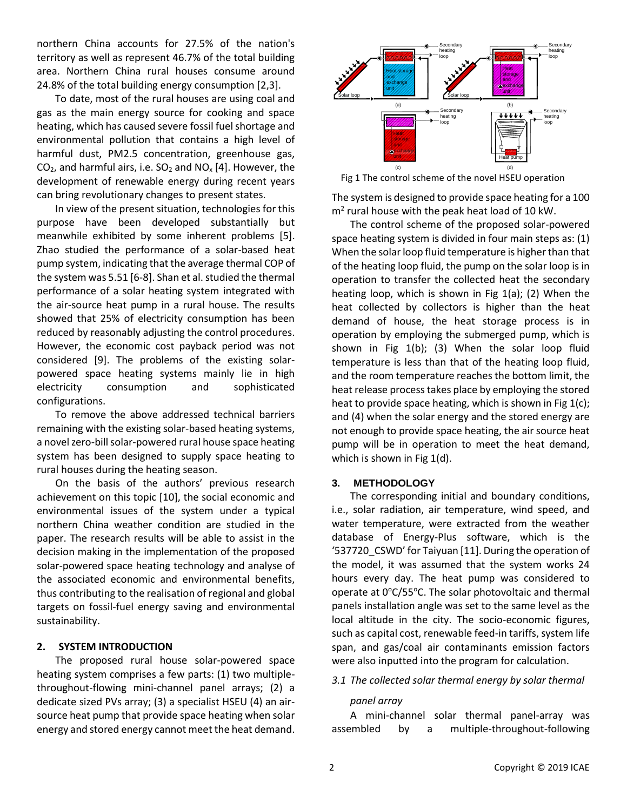northern China accounts for 27.5% of the nation's territory as well as represent 46.7% of the total building area. Northern China rural houses consume around 24.8% of the total building energy consumption [2,3].

To date, most of the rural houses are using coal and gas as the main energy source for cooking and space heating, which has caused severe fossil fuel shortage and environmental pollution that contains a high level of harmful dust, PM2.5 concentration, greenhouse gas,  $CO<sub>2</sub>$ , and harmful airs, i.e.  $SO<sub>2</sub>$  and NO<sub>x</sub> [4]. However, the development of renewable energy during recent years can bring revolutionary changes to present states.

In view of the present situation, technologies for this purpose have been developed substantially but meanwhile exhibited by some inherent problems [5]. Zhao studied the performance of a solar-based heat pump system, indicating that the average thermal COP of the system was 5.51 [6-8]. Shan et al. studied the thermal performance of a solar heating system integrated with the air-source heat pump in a rural house. The results showed that 25% of electricity consumption has been reduced by reasonably adjusting the control procedures. However, the economic cost payback period was not considered [9]. The problems of the existing solarpowered space heating systems mainly lie in high electricity consumption and sophisticated configurations.

To remove the above addressed technical barriers remaining with the existing solar-based heating systems, a novel zero-bill solar-powered rural house space heating system has been designed to supply space heating to rural houses during the heating season.

On the basis of the authors' previous research achievement on this topic [10], the social economic and environmental issues of the system under a typical northern China weather condition are studied in the paper. The research results will be able to assist in the decision making in the implementation of the proposed solar-powered space heating technology and analyse of the associated economic and environmental benefits, thus contributing to the realisation of regional and global targets on fossil-fuel energy saving and environmental sustainability.

#### **2. SYSTEM INTRODUCTION**

The proposed rural house solar-powered space heating system comprises a few parts: (1) two multiplethroughout-flowing mini-channel panel arrays; (2) a dedicate sized PVs array; (3) a specialist HSEU (4) an airsource heat pump that provide space heating when solar energy and stored energy cannot meet the heat demand.



Fig 1 The control scheme of the novel HSEU operation

The system is designed to provide space heating for a 100  $m<sup>2</sup>$  rural house with the peak heat load of 10 kW.

The control scheme of the proposed solar-powered space heating system is divided in four main steps as: (1) When the solar loop fluid temperature is higher than that of the heating loop fluid, the pump on the solar loop is in operation to transfer the collected heat the secondary heating loop, which is shown in Fig 1(a); (2) When the heat collected by collectors is higher than the heat demand of house, the heat storage process is in operation by employing the submerged pump, which is shown in Fig 1(b); (3) When the solar loop fluid temperature is less than that of the heating loop fluid, and the room temperature reaches the bottom limit, the heat release process takes place by employing the stored heat to provide space heating, which is shown in Fig 1(c); and (4) when the solar energy and the stored energy are not enough to provide space heating, the air source heat pump will be in operation to meet the heat demand, which is shown in Fig 1(d).

#### **3. METHODOLOGY**

The corresponding initial and boundary conditions, i.e., solar radiation, air temperature, wind speed, and water temperature, were extracted from the weather database of Energy-Plus software, which is the '537720\_CSWD' for Taiyuan [11]. During the operation of the model, it was assumed that the system works 24 hours every day. The heat pump was considered to operate at  $0^{\circ}$ C/55 $^{\circ}$ C. The solar photovoltaic and thermal panels installation angle was set to the same level as the local altitude in the city. The socio-economic figures, such as capital cost, renewable feed-in tariffs, system life span, and gas/coal air contaminants emission factors were also inputted into the program for calculation.

#### *3.1 The collected solar thermal energy by solar thermal*

#### *panel array*

A mini-channel solar thermal panel-array was assembled by a multiple-throughout-following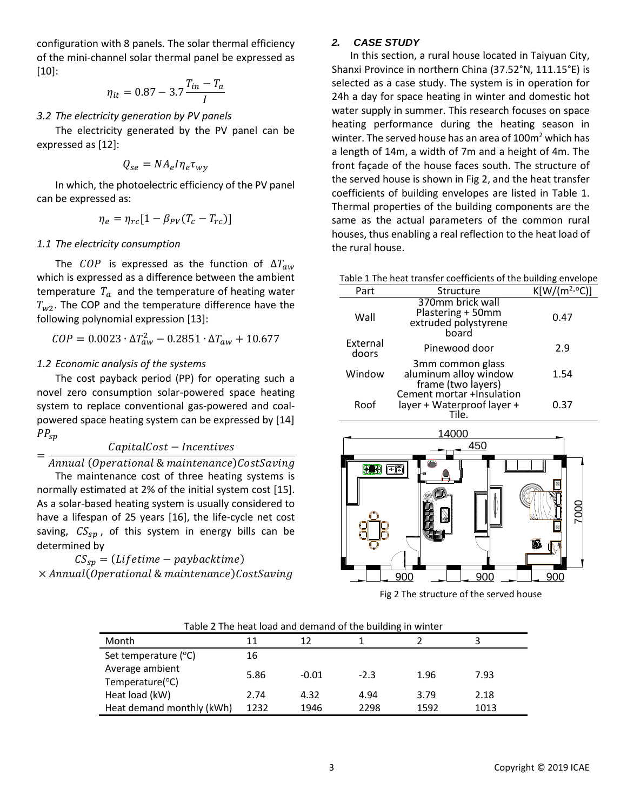configuration with 8 panels. The solar thermal efficiency of the mini-channel solar thermal panel be expressed as [10]:

$$
\eta_{it} = 0.87 - 3.7 \frac{T_{in} - T_a}{I}
$$

#### *3.2 The electricity generation by PV panels*

The electricity generated by the PV panel can be expressed as [12]:

$$
Q_{se} = N A_e I \eta_e \tau_{wy}
$$

In which, the photoelectric efficiency of the PV panel can be expressed as:

$$
\eta_e = \eta_{rc} [1 - \beta_{PV} (T_c - T_{rc})]
$$

#### *1.1 The electricity consumption*

The *COP* is expressed as the function of  $\Delta T_{aw}$ which is expressed as a difference between the ambient temperature  $T_a$  and the temperature of heating water  $T_{w2}$ . The COP and the temperature difference have the following polynomial expression [13]:

$$
COP = 0.0023 \cdot \Delta T_{aw}^2 - 0.2851 \cdot \Delta T_{aw} + 10.677
$$

#### *1.2 Economic analysis of the systems*

The cost payback period (PP) for operating such a novel zero consumption solar-powered space heating system to replace conventional gas-powered and coalpowered space heating system can be expressed by [14]  $PP_{sp}$ 

#### $CapitalCost - Incentives$

#### = Annual (Operational & maintenance)CostSaving

The maintenance cost of three heating systems is normally estimated at 2% of the initial system cost [15]. As a solar-based heating system is usually considered to have a lifespan of 25 years [16], the life-cycle net cost saving,  $CS_{sn}$ , of this system in energy bills can be determined by

 $CS_{sp} = (Lifetime - paybacktime)$  $\times$  Annual(Operational & maintenance)CostSaving

#### *2. CASE STUDY*

In this section, a rural house located in Taiyuan City, Shanxi Province in northern China (37.52°N, 111.15°E) is selected as a case study. The system is in operation for 24h a day for space heating in winter and domestic hot water supply in summer. This research focuses on space heating performance during the heating season in winter. The served house has an area of  $100m<sup>2</sup>$  which has a length of 14m, a width of 7m and a height of 4m. The front façade of the house faces south. The structure of the served house is shown in Fig 2, and the heat transfer coefficients of building envelopes are listed in Table 1. Thermal properties of the building components are the same as the actual parameters of the common rural houses, thus enabling a real reflection to the heat load of the rural house.

| Table 1 The heat transfer coefficients of the building envelope |  |
|-----------------------------------------------------------------|--|
|-----------------------------------------------------------------|--|

| Part              | Structure                                                              | $K[W/(m^2.°C)]$ |
|-------------------|------------------------------------------------------------------------|-----------------|
| Wall              | 370mm brick wall<br>Plastering + 50mm<br>extruded polystyrene<br>board | 0.47            |
| External<br>doors | Pinewood door                                                          | 2.9             |
| Window            | 3mm common glass<br>aluminum alloy window<br>frame (two layers)        | 1.54            |
| Roof              | Cement mortar +Insulation<br>layer + Waterproof layer +<br>Tile.       | 0.37            |



Fig 2 The structure of the served house

| Table 2 The heat load and demand of the building in winter |  |
|------------------------------------------------------------|--|
|------------------------------------------------------------|--|

| Month                              | 11   | 12      |        |      |      |
|------------------------------------|------|---------|--------|------|------|
| Set temperature (°C)               | 16   |         |        |      |      |
| Average ambient<br>Temperature(°C) | 5.86 | $-0.01$ | $-2.3$ | 1.96 | 7.93 |
| Heat load (kW)                     | 2.74 | 4.32    | 4.94   | 3.79 | 2.18 |
| Heat demand monthly (kWh)          | 1232 | 1946    | 2298   | 1592 | 1013 |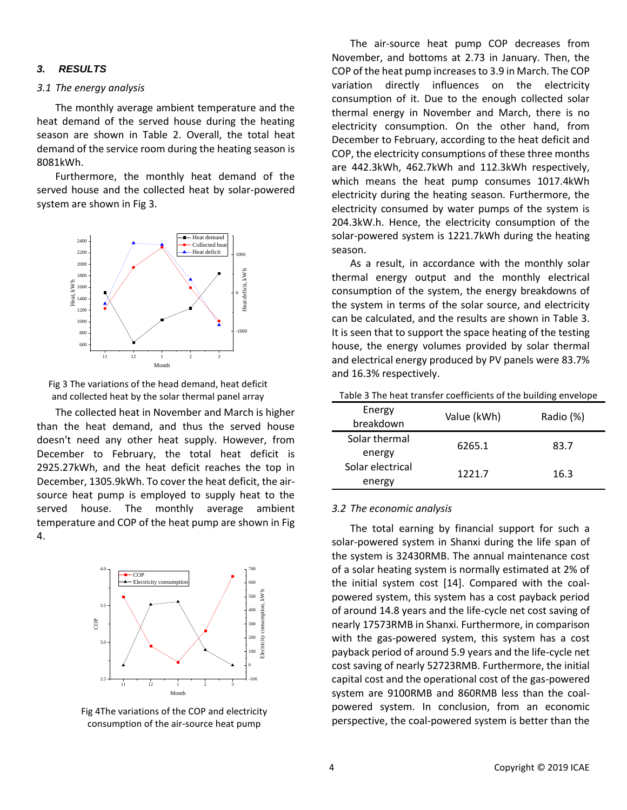#### *3. RESULTS*

#### *3.1 The energy analysis*

The monthly average ambient temperature and the heat demand of the served house during the heating season are shown in Table 2. Overall, the total heat demand of the service room during the heating season is 8081kWh.

Furthermore, the monthly heat demand of the served house and the collected heat by solar-powered system are shown in Fig 3.



Fig 3 The variations of the head demand, heat deficit and collected heat by the solar thermal panel array

The collected heat in November and March is higher than the heat demand, and thus the served house doesn't need any other heat supply. However, from December to February, the total heat deficit is 2925.27kWh, and the heat deficit reaches the top in December, 1305.9kWh. To cover the heat deficit, the airsource heat pump is employed to supply heat to the served house. The monthly average ambient temperature and COP of the heat pump are shown in Fig 4.



Fig 4The variations of the COP and electricity consumption of the air-source heat pump

The air-source heat pump COP decreases from November, and bottoms at 2.73 in January. Then, the COP of the heat pump increases to 3.9 in March. The COP variation directly influences on the electricity consumption of it. Due to the enough collected solar thermal energy in November and March, there is no electricity consumption. On the other hand, from December to February, according to the heat deficit and COP, the electricity consumptions of these three months are 442.3kWh, 462.7kWh and 112.3kWh respectively, which means the heat pump consumes 1017.4kWh electricity during the heating season. Furthermore, the electricity consumed by water pumps of the system is 204.3kW.h. Hence, the electricity consumption of the solar-powered system is 1221.7kWh during the heating season.

As a result, in accordance with the monthly solar thermal energy output and the monthly electrical consumption of the system, the energy breakdowns of the system in terms of the solar source, and electricity can be calculated, and the results are shown in Table 3. It is seen that to support the space heating of the testing house, the energy volumes provided by solar thermal and electrical energy produced by PV panels were 83.7% and 16.3% respectively.

| Energy<br>breakdown        | Value (kWh) | Radio (%) |
|----------------------------|-------------|-----------|
| Solar thermal<br>energy    | 6265.1      | 83.7      |
| Solar electrical<br>energy | 1221.7      | 16.3      |

#### *3.2 The economic analysis*

The total earning by financial support for such a solar-powered system in Shanxi during the life span of the system is 32430RMB. The annual maintenance cost of a solar heating system is normally estimated at 2% of the initial system cost [14]. Compared with the coalpowered system, this system has a cost payback period of around 14.8 years and the life-cycle net cost saving of nearly 17573RMB in Shanxi. Furthermore, in comparison with the gas-powered system, this system has a cost payback period of around 5.9 years and the life-cycle net cost saving of nearly 52723RMB. Furthermore, the initial capital cost and the operational cost of the gas-powered system are 9100RMB and 860RMB less than the coalpowered system. In conclusion, from an economic perspective, the coal-powered system is better than the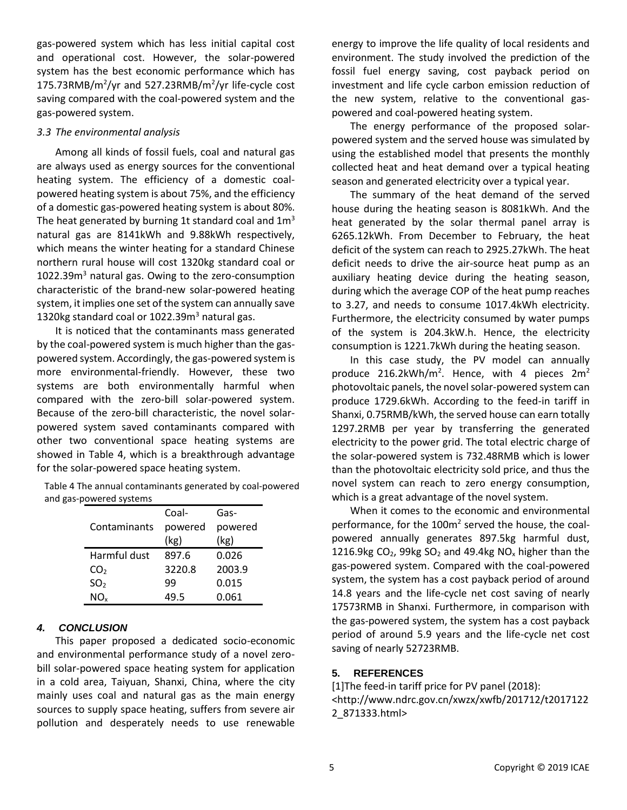gas-powered system which has less initial capital cost and operational cost. However, the solar-powered system has the best economic performance which has 175.73RMB/m<sup>2</sup>/yr and 527.23RMB/m<sup>2</sup>/yr life-cycle cost saving compared with the coal-powered system and the gas-powered system.

#### *3.3 The environmental analysis*

Among all kinds of fossil fuels, coal and natural gas are always used as energy sources for the conventional heating system. The efficiency of a domestic coalpowered heating system is about 75%, and the efficiency of a domestic gas-powered heating system is about 80%. The heat generated by burning 1t standard coal and  $1m<sup>3</sup>$ natural gas are 8141kWh and 9.88kWh respectively, which means the winter heating for a standard Chinese northern rural house will cost 1320kg standard coal or 1022.39 $m<sup>3</sup>$  natural gas. Owing to the zero-consumption characteristic of the brand-new solar-powered heating system, it implies one set of the system can annually save 1320kg standard coal or 1022.39m<sup>3</sup> natural gas.

It is noticed that the contaminants mass generated by the coal-powered system is much higher than the gaspowered system. Accordingly, the gas-powered system is more environmental-friendly. However, these two systems are both environmentally harmful when compared with the zero-bill solar-powered system. Because of the zero-bill characteristic, the novel solarpowered system saved contaminants compared with other two conventional space heating systems are showed in Table 4, which is a breakthrough advantage for the solar-powered space heating system.

| Table 4 The annual contaminants generated by coal-powered |  |
|-----------------------------------------------------------|--|
| and gas-powered systems                                   |  |

|                 | Coal-   | Gas-    |
|-----------------|---------|---------|
| Contaminants    | powered | powered |
|                 | (kg)    | (kg)    |
| Harmful dust    | 897.6   | 0.026   |
| CO <sub>2</sub> | 3220.8  | 2003.9  |
| SO <sub>2</sub> | 99      | 0.015   |
| NO.             | 49.5    | 0.061   |

#### *4. CONCLUSION*

This paper proposed a dedicated socio-economic and environmental performance study of a novel zerobill solar-powered space heating system for application in a cold area, Taiyuan, Shanxi, China, where the city mainly uses coal and natural gas as the main energy sources to supply space heating, suffers from severe air pollution and desperately needs to use renewable energy to improve the life quality of local residents and environment. The study involved the prediction of the fossil fuel energy saving, cost payback period on investment and life cycle carbon emission reduction of the new system, relative to the conventional gaspowered and coal-powered heating system.

The energy performance of the proposed solarpowered system and the served house was simulated by using the established model that presents the monthly collected heat and heat demand over a typical heating season and generated electricity over a typical year.

The summary of the heat demand of the served house during the heating season is 8081kWh. And the heat generated by the solar thermal panel array is 6265.12kWh. From December to February, the heat deficit of the system can reach to 2925.27kWh. The heat deficit needs to drive the air-source heat pump as an auxiliary heating device during the heating season, during which the average COP of the heat pump reaches to 3.27, and needs to consume 1017.4kWh electricity. Furthermore, the electricity consumed by water pumps of the system is 204.3kW.h. Hence, the electricity consumption is 1221.7kWh during the heating season.

In this case study, the PV model can annually produce 216.2kWh/m<sup>2</sup>. Hence, with 4 pieces 2m<sup>2</sup> photovoltaic panels, the novel solar-powered system can produce 1729.6kWh. According to the feed-in tariff in Shanxi, 0.75RMB/kWh, the served house can earn totally 1297.2RMB per year by transferring the generated electricity to the power grid. The total electric charge of the solar-powered system is 732.48RMB which is lower than the photovoltaic electricity sold price, and thus the novel system can reach to zero energy consumption, which is a great advantage of the novel system.

When it comes to the economic and environmental performance, for the 100m<sup>2</sup> served the house, the coalpowered annually generates 897.5kg harmful dust, 1216.9kg  $CO<sub>2</sub>$ , 99kg  $SO<sub>2</sub>$  and 49.4kg NO<sub>x</sub> higher than the gas-powered system. Compared with the coal-powered system, the system has a cost payback period of around 14.8 years and the life-cycle net cost saving of nearly 17573RMB in Shanxi. Furthermore, in comparison with the gas-powered system, the system has a cost payback period of around 5.9 years and the life-cycle net cost saving of nearly 52723RMB.

#### **5. REFERENCES**

[1]The feed-in tariff price for PV panel (2018): <http://www.ndrc.gov.cn/xwzx/xwfb/201712/t2017122 2\_871333.html>